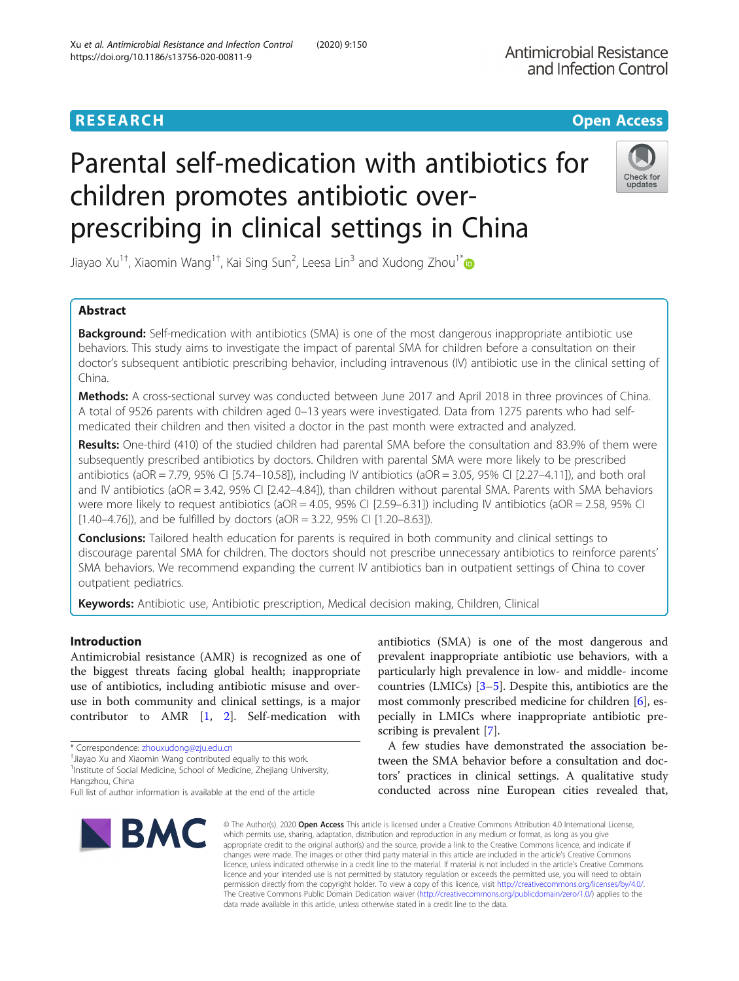# **RESEARCH CHE Open Access**

# Parental self-medication with antibiotics for children promotes antibiotic overprescribing in clinical settings in China

Jiayao Xu<sup>1†</sup>, Xiaomin Wang<sup>1†</sup>, Kai Sing Sun<sup>2</sup>, Leesa Lin<sup>3</sup> and Xudong Zhou<sup>1\*</sup>

## Abstract

**Background:** Self-medication with antibiotics (SMA) is one of the most dangerous inappropriate antibiotic use behaviors. This study aims to investigate the impact of parental SMA for children before a consultation on their doctor's subsequent antibiotic prescribing behavior, including intravenous (IV) antibiotic use in the clinical setting of China.

Methods: A cross-sectional survey was conducted between June 2017 and April 2018 in three provinces of China. A total of 9526 parents with children aged 0–13 years were investigated. Data from 1275 parents who had selfmedicated their children and then visited a doctor in the past month were extracted and analyzed.

Results: One-third (410) of the studied children had parental SMA before the consultation and 83.9% of them were subsequently prescribed antibiotics by doctors. Children with parental SMA were more likely to be prescribed antibiotics (aOR = 7.79, 95% CI [5.74-10.58]), including IV antibiotics (aOR = 3.05, 95% CI [2.27-4.11]), and both oral and IV antibiotics (aOR = 3.42, 95% CI [2.42–4.84]), than children without parental SMA. Parents with SMA behaviors were more likely to request antibiotics (aOR = 4.05, 95% CI [2.59–6.31]) including IV antibiotics (aOR = 2.58, 95% CI  $[1.40-4.76]$ , and be fulfilled by doctors (aOR = 3.22, 95% CI  $[1.20-8.63]$ ).

**Conclusions:** Tailored health education for parents is required in both community and clinical settings to discourage parental SMA for children. The doctors should not prescribe unnecessary antibiotics to reinforce parents' SMA behaviors. We recommend expanding the current IV antibiotics ban in outpatient settings of China to cover outpatient pediatrics.

Keywords: Antibiotic use, Antibiotic prescription, Medical decision making, Children, Clinical

### Introduction

Antimicrobial resistance (AMR) is recognized as one of the biggest threats facing global health; inappropriate use of antibiotics, including antibiotic misuse and overuse in both community and clinical settings, is a major contributor to AMR [\[1](#page-6-0), [2](#page-6-0)]. Self-medication with

Hangzhou, China

antibiotics (SMA) is one of the most dangerous and prevalent inappropriate antibiotic use behaviors, with a particularly high prevalence in low- and middle- income countries (LMICs) [[3](#page-6-0)–[5](#page-6-0)]. Despite this, antibiotics are the most commonly prescribed medicine for children [[6\]](#page-6-0), especially in LMICs where inappropriate antibiotic prescribing is prevalent [[7\]](#page-6-0).

A few studies have demonstrated the association between the SMA behavior before a consultation and doctors' practices in clinical settings. A qualitative study conducted across nine European cities revealed that,

© The Author(s), 2020 **Open Access** This article is licensed under a Creative Commons Attribution 4.0 International License, which permits use, sharing, adaptation, distribution and reproduction in any medium or format, as long as you give appropriate credit to the original author(s) and the source, provide a link to the Creative Commons licence, and indicate if changes were made. The images or other third party material in this article are included in the article's Creative Commons licence, unless indicated otherwise in a credit line to the material. If material is not included in the article's Creative Commons licence and your intended use is not permitted by statutory regulation or exceeds the permitted use, you will need to obtain permission directly from the copyright holder. To view a copy of this licence, visit [http://creativecommons.org/licenses/by/4.0/.](http://creativecommons.org/licenses/by/4.0/) The Creative Commons Public Domain Dedication waiver [\(http://creativecommons.org/publicdomain/zero/1.0/](http://creativecommons.org/publicdomain/zero/1.0/)) applies to the data made available in this article, unless otherwise stated in a credit line to the data.





Antimicrobial Resistance and Infection Control



<sup>\*</sup> Correspondence: [zhouxudong@zju.edu.cn](mailto:zhouxudong@zju.edu.cn) †

<sup>&</sup>lt;sup>+</sup>Jiayao Xu and Xiaomin Wang contributed equally to this work.

<sup>&</sup>lt;sup>1</sup>Institute of Social Medicine, School of Medicine, Zhejiang University,

Full list of author information is available at the end of the article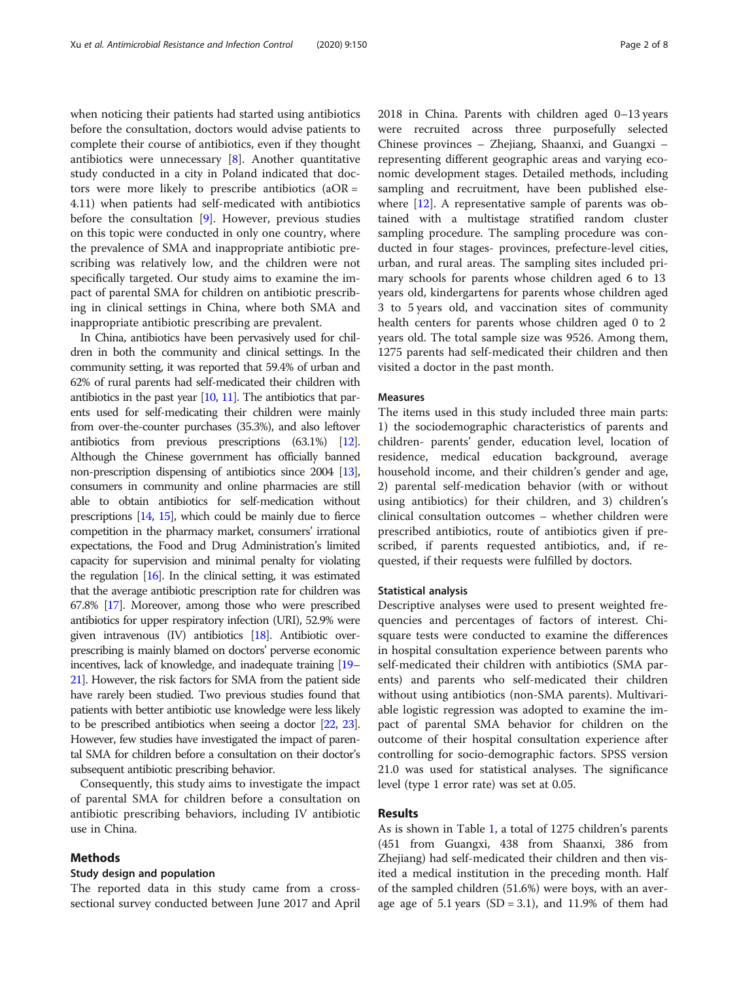when noticing their patients had started using antibiotics before the consultation, doctors would advise patients to complete their course of antibiotics, even if they thought antibiotics were unnecessary  $[8]$  $[8]$ . Another quantitative study conducted in a city in Poland indicated that doctors were more likely to prescribe antibiotics  $(aOR =$ 4.11) when patients had self-medicated with antibiotics before the consultation [[9\]](#page-6-0). However, previous studies on this topic were conducted in only one country, where the prevalence of SMA and inappropriate antibiotic prescribing was relatively low, and the children were not specifically targeted. Our study aims to examine the impact of parental SMA for children on antibiotic prescribing in clinical settings in China, where both SMA and inappropriate antibiotic prescribing are prevalent.

In China, antibiotics have been pervasively used for children in both the community and clinical settings. In the community setting, it was reported that 59.4% of urban and 62% of rural parents had self-medicated their children with antibiotics in the past year  $[10, 11]$  $[10, 11]$  $[10, 11]$  $[10, 11]$ . The antibiotics that parents used for self-medicating their children were mainly from over-the-counter purchases (35.3%), and also leftover antibiotics from previous prescriptions (63.1%) [\[12\]](#page-6-0). Although the Chinese government has officially banned non-prescription dispensing of antibiotics since 2004 [\[13\]](#page-6-0), consumers in community and online pharmacies are still able to obtain antibiotics for self-medication without prescriptions [\[14](#page-6-0), [15](#page-6-0)], which could be mainly due to fierce competition in the pharmacy market, consumers' irrational expectations, the Food and Drug Administration's limited capacity for supervision and minimal penalty for violating the regulation  $[16]$ . In the clinical setting, it was estimated that the average antibiotic prescription rate for children was 67.8% [[17](#page-6-0)]. Moreover, among those who were prescribed antibiotics for upper respiratory infection (URI), 52.9% were given intravenous (IV) antibiotics [\[18](#page-6-0)]. Antibiotic overprescribing is mainly blamed on doctors' perverse economic incentives, lack of knowledge, and inadequate training [\[19](#page-6-0)– [21\]](#page-6-0). However, the risk factors for SMA from the patient side have rarely been studied. Two previous studies found that patients with better antibiotic use knowledge were less likely to be prescribed antibiotics when seeing a doctor [\[22](#page-6-0), [23\]](#page-6-0). However, few studies have investigated the impact of parental SMA for children before a consultation on their doctor's subsequent antibiotic prescribing behavior.

Consequently, this study aims to investigate the impact of parental SMA for children before a consultation on antibiotic prescribing behaviors, including IV antibiotic use in China.

#### Methods

#### Study design and population

The reported data in this study came from a crosssectional survey conducted between June 2017 and April 2018 in China. Parents with children aged 0–13 years were recruited across three purposefully selected Chinese provinces – Zhejiang, Shaanxi, and Guangxi – representing different geographic areas and varying economic development stages. Detailed methods, including sampling and recruitment, have been published elsewhere  $[12]$  $[12]$ . A representative sample of parents was obtained with a multistage stratified random cluster sampling procedure. The sampling procedure was conducted in four stages- provinces, prefecture-level cities, urban, and rural areas. The sampling sites included primary schools for parents whose children aged 6 to 13 years old, kindergartens for parents whose children aged 3 to 5 years old, and vaccination sites of community health centers for parents whose children aged 0 to 2 years old. The total sample size was 9526. Among them, 1275 parents had self-medicated their children and then visited a doctor in the past month.

#### Measures

The items used in this study included three main parts: 1) the sociodemographic characteristics of parents and children- parents' gender, education level, location of residence, medical education background, average household income, and their children's gender and age, 2) parental self-medication behavior (with or without using antibiotics) for their children, and 3) children's clinical consultation outcomes – whether children were prescribed antibiotics, route of antibiotics given if prescribed, if parents requested antibiotics, and, if requested, if their requests were fulfilled by doctors.

#### Statistical analysis

Descriptive analyses were used to present weighted frequencies and percentages of factors of interest. Chisquare tests were conducted to examine the differences in hospital consultation experience between parents who self-medicated their children with antibiotics (SMA parents) and parents who self-medicated their children without using antibiotics (non-SMA parents). Multivariable logistic regression was adopted to examine the impact of parental SMA behavior for children on the outcome of their hospital consultation experience after controlling for socio-demographic factors. SPSS version 21.0 was used for statistical analyses. The significance level (type 1 error rate) was set at 0.05.

#### Results

As is shown in Table [1,](#page-2-0) a total of 1275 children's parents (451 from Guangxi, 438 from Shaanxi, 386 from Zhejiang) had self-medicated their children and then visited a medical institution in the preceding month. Half of the sampled children (51.6%) were boys, with an average age of 5.1 years  $(SD = 3.1)$ , and 11.9% of them had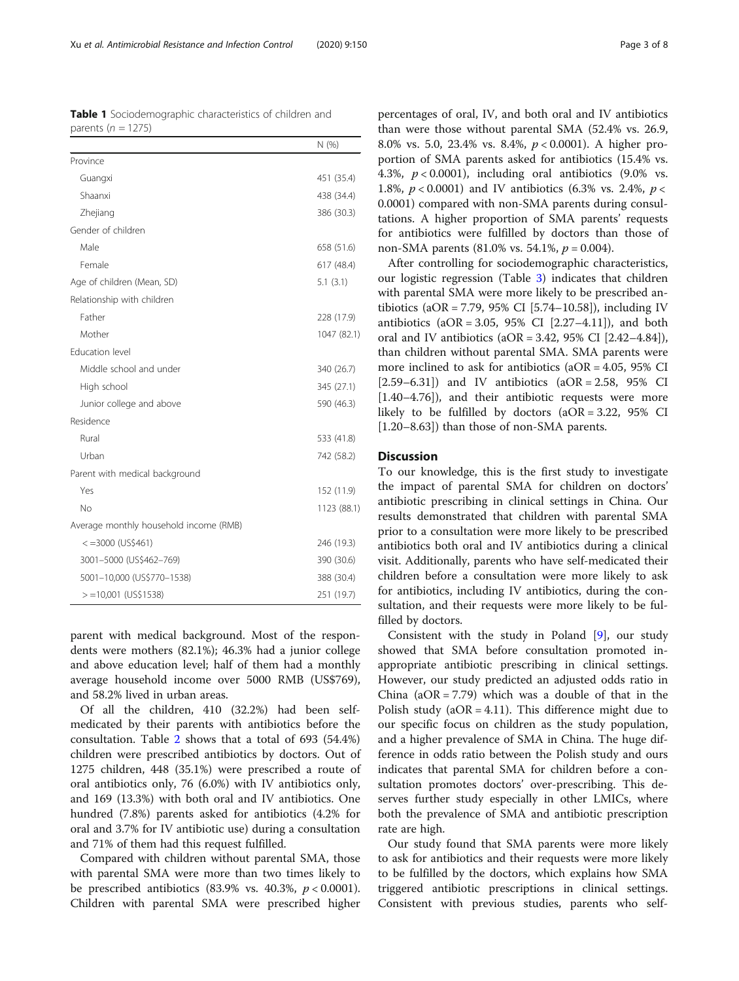parent with medical background. Most of the respondents were mothers (82.1%); 46.3% had a junior college and above education level; half of them had a monthly average household income over 5000 RMB (US\$769), and 58.2% lived in urban areas.

5001–10,000 (US\$770–1538) 388 (30.4) > =10,001 (US\$1538) 251 (19.7)

Of all the children, 410 (32.2%) had been selfmedicated by their parents with antibiotics before the consultation. Table [2](#page-3-0) shows that a total of 693 (54.4%) children were prescribed antibiotics by doctors. Out of 1275 children, 448 (35.1%) were prescribed a route of oral antibiotics only, 76 (6.0%) with IV antibiotics only, and 169 (13.3%) with both oral and IV antibiotics. One hundred (7.8%) parents asked for antibiotics (4.2% for oral and 3.7% for IV antibiotic use) during a consultation and 71% of them had this request fulfilled.

Compared with children without parental SMA, those with parental SMA were more than two times likely to be prescribed antibiotics  $(83.9\% \text{ vs. } 40.3\%, p < 0.0001).$ Children with parental SMA were prescribed higher percentages of oral, IV, and both oral and IV antibiotics than were those without parental SMA (52.4% vs. 26.9, 8.0% vs. 5.0, 23.4% vs. 8.4%, p < 0.0001). A higher proportion of SMA parents asked for antibiotics (15.4% vs. 4.3%,  $p < 0.0001$ ), including oral antibiotics (9.0% vs. 1.8%,  $p < 0.0001$ ) and IV antibiotics (6.3% vs. 2.4%,  $p <$ 0.0001) compared with non-SMA parents during consultations. A higher proportion of SMA parents' requests for antibiotics were fulfilled by doctors than those of non-SMA parents (81.0% vs. 54.1%,  $p = 0.004$ ).

After controlling for sociodemographic characteristics, our logistic regression (Table [3](#page-4-0)) indicates that children with parental SMA were more likely to be prescribed antibiotics (aOR = 7.79, 95% CI [5.74–10.58]), including IV antibiotics ( $aOR = 3.05$ ,  $95\%$  CI  $[2.27-4.11]$ ), and both oral and IV antibiotics (aOR = 3.42, 95% CI [2.42–4.84]), than children without parental SMA. SMA parents were more inclined to ask for antibiotics ( $aOR = 4.05$ ,  $95\%$  CI  $[2.59-6.31]$  and IV antibiotics  $(aOR = 2.58, 95\% \text{ CI})$ [1.40–4.76]), and their antibiotic requests were more likely to be fulfilled by doctors (aOR = 3.22, 95% CI [1.20–8.63]) than those of non-SMA parents.

#### **Discussion**

To our knowledge, this is the first study to investigate the impact of parental SMA for children on doctors' antibiotic prescribing in clinical settings in China. Our results demonstrated that children with parental SMA prior to a consultation were more likely to be prescribed antibiotics both oral and IV antibiotics during a clinical visit. Additionally, parents who have self-medicated their children before a consultation were more likely to ask for antibiotics, including IV antibiotics, during the consultation, and their requests were more likely to be fulfilled by doctors.

Consistent with the study in Poland [\[9](#page-6-0)], our study showed that SMA before consultation promoted inappropriate antibiotic prescribing in clinical settings. However, our study predicted an adjusted odds ratio in China  $(aOR = 7.79)$  which was a double of that in the Polish study ( $aOR = 4.11$ ). This difference might due to our specific focus on children as the study population, and a higher prevalence of SMA in China. The huge difference in odds ratio between the Polish study and ours indicates that parental SMA for children before a consultation promotes doctors' over-prescribing. This deserves further study especially in other LMICs, where both the prevalence of SMA and antibiotic prescription rate are high.

Our study found that SMA parents were more likely to ask for antibiotics and their requests were more likely to be fulfilled by the doctors, which explains how SMA triggered antibiotic prescriptions in clinical settings. Consistent with previous studies, parents who self-

<span id="page-2-0"></span>Table 1 Sociodemographic characteristics of children and parents ( $n = 1275$ )

N (%)

| Province                               |             |
|----------------------------------------|-------------|
| Guangxi                                | 451 (35.4)  |
| Shaanxi                                | 438 (34.4)  |
| Zhejiang                               | 386 (30.3)  |
| Gender of children                     |             |
| Male                                   | 658 (51.6)  |
| Female                                 | 617 (48.4)  |
| Age of children (Mean, SD)             | 5.1(3.1)    |
| Relationship with children             |             |
| Father                                 | 228 (17.9)  |
| Mother                                 | 1047 (82.1) |
| Education level                        |             |
| Middle school and under                | 340 (26.7)  |
| High school                            | 345 (27.1)  |
| Junior college and above               | 590 (46.3)  |
| Residence                              |             |
| Rural                                  | 533 (41.8)  |
| Urban                                  | 742 (58.2)  |
| Parent with medical background         |             |
| Yes                                    | 152 (11.9)  |
| <b>No</b>                              | 1123 (88.1) |
| Average monthly household income (RMB) |             |
| $\leq$ =3000 (US\$461)                 | 246 (19.3)  |
| 3001-5000 (US\$462-769)                | 390 (30.6)  |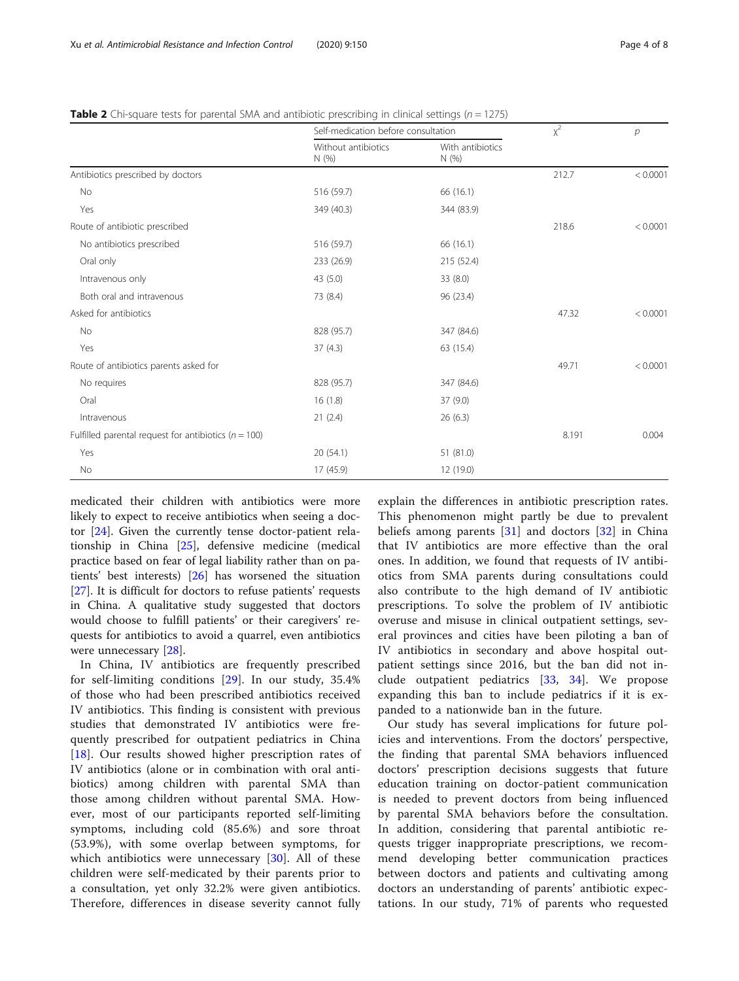|                                                          | Self-medication before consultation |                           | $x^2$ | $\mathcal{P}$ |
|----------------------------------------------------------|-------------------------------------|---------------------------|-------|---------------|
|                                                          | Without antibiotics<br>N (%)        | With antibiotics<br>N (%) |       |               |
| Antibiotics prescribed by doctors                        |                                     |                           | 212.7 | < 0.0001      |
| <b>No</b>                                                | 516 (59.7)                          | 66 (16.1)                 |       |               |
| Yes                                                      | 349 (40.3)                          | 344 (83.9)                |       |               |
| Route of antibiotic prescribed                           |                                     |                           | 218.6 | < 0.0001      |
| No antibiotics prescribed                                | 516 (59.7)                          | 66 (16.1)                 |       |               |
| Oral only                                                | 233 (26.9)                          | 215 (52.4)                |       |               |
| Intravenous only                                         | 43 (5.0)                            | 33 (8.0)                  |       |               |
| Both oral and intravenous                                | 73 (8.4)                            | 96 (23.4)                 |       |               |
| Asked for antibiotics                                    |                                     |                           | 47.32 | < 0.0001      |
| <b>No</b>                                                | 828 (95.7)                          | 347 (84.6)                |       |               |
| Yes                                                      | 37(4.3)                             | 63 (15.4)                 |       |               |
| Route of antibiotics parents asked for                   |                                     |                           | 49.71 | < 0.0001      |
| No requires                                              | 828 (95.7)                          | 347 (84.6)                |       |               |
| Oral                                                     | 16(1.8)                             | 37 (9.0)                  |       |               |
| Intravenous                                              | 21(2.4)                             | 26 (6.3)                  |       |               |
| Fulfilled parental request for antibiotics ( $n = 100$ ) |                                     |                           | 8.191 | 0.004         |
| Yes                                                      | 20(54.1)                            | 51 (81.0)                 |       |               |
| No                                                       | 17 (45.9)                           | 12 (19.0)                 |       |               |

<span id="page-3-0"></span>**Table 2** Chi-square tests for parental SMA and antibiotic prescribing in clinical settings ( $n = 1275$ )

medicated their children with antibiotics were more likely to expect to receive antibiotics when seeing a doctor [\[24](#page-6-0)]. Given the currently tense doctor-patient relationship in China [[25](#page-6-0)], defensive medicine (medical practice based on fear of legal liability rather than on patients' best interests) [[26\]](#page-6-0) has worsened the situation [[27\]](#page-6-0). It is difficult for doctors to refuse patients' requests in China. A qualitative study suggested that doctors would choose to fulfill patients' or their caregivers' requests for antibiotics to avoid a quarrel, even antibiotics were unnecessary [\[28](#page-6-0)].

In China, IV antibiotics are frequently prescribed for self-limiting conditions [[29\]](#page-6-0). In our study, 35.4% of those who had been prescribed antibiotics received IV antibiotics. This finding is consistent with previous studies that demonstrated IV antibiotics were frequently prescribed for outpatient pediatrics in China [[18\]](#page-6-0). Our results showed higher prescription rates of IV antibiotics (alone or in combination with oral antibiotics) among children with parental SMA than those among children without parental SMA. However, most of our participants reported self-limiting symptoms, including cold (85.6%) and sore throat (53.9%), with some overlap between symptoms, for which antibiotics were unnecessary [\[30](#page-6-0)]. All of these children were self-medicated by their parents prior to a consultation, yet only 32.2% were given antibiotics. Therefore, differences in disease severity cannot fully explain the differences in antibiotic prescription rates. This phenomenon might partly be due to prevalent beliefs among parents  $[31]$  $[31]$  and doctors  $[32]$  $[32]$  in China that IV antibiotics are more effective than the oral ones. In addition, we found that requests of IV antibiotics from SMA parents during consultations could also contribute to the high demand of IV antibiotic prescriptions. To solve the problem of IV antibiotic overuse and misuse in clinical outpatient settings, several provinces and cities have been piloting a ban of IV antibiotics in secondary and above hospital outpatient settings since 2016, but the ban did not include outpatient pediatrics [\[33](#page-6-0), [34\]](#page-6-0). We propose expanding this ban to include pediatrics if it is expanded to a nationwide ban in the future.

Our study has several implications for future policies and interventions. From the doctors' perspective, the finding that parental SMA behaviors influenced doctors' prescription decisions suggests that future education training on doctor-patient communication is needed to prevent doctors from being influenced by parental SMA behaviors before the consultation. In addition, considering that parental antibiotic requests trigger inappropriate prescriptions, we recommend developing better communication practices between doctors and patients and cultivating among doctors an understanding of parents' antibiotic expectations. In our study, 71% of parents who requested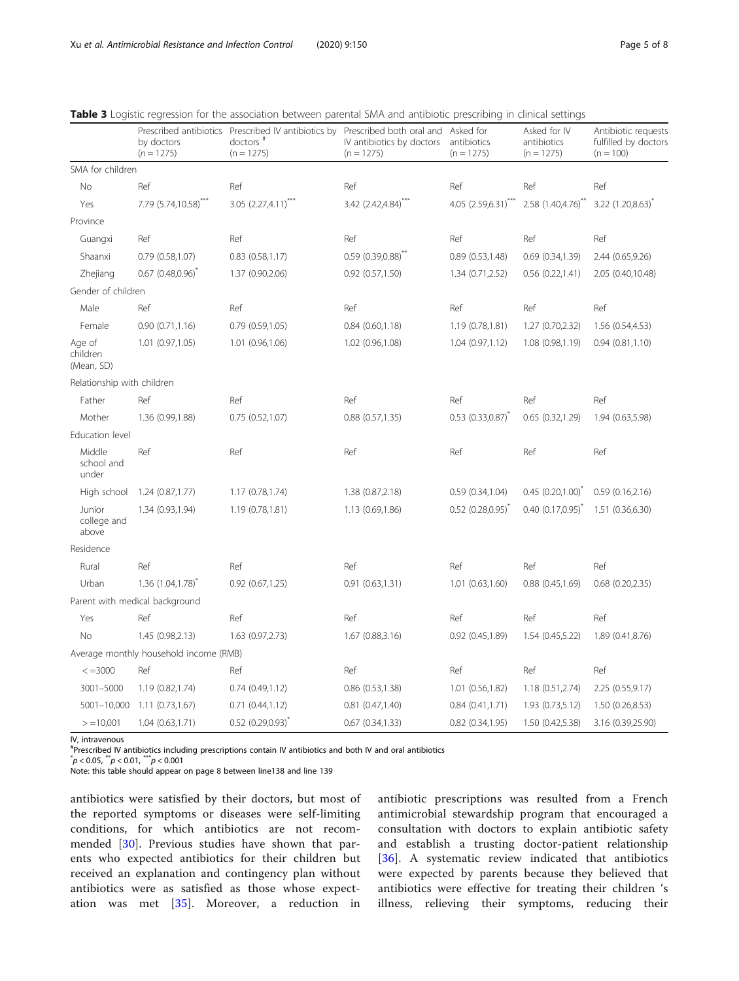|                                  | by doctors<br>$(n = 1275)$             | Prescribed antibiotics Prescribed IV antibiotics by Prescribed both oral and Asked for<br>$d$ octors $*$<br>$(n = 1275)$ | IV antibiotics by doctors<br>$(n = 1275)$ | antibiotics<br>$(n = 1275)$ | Asked for IV<br>antibiotics<br>$(n = 1275)$ | Antibiotic requests<br>fulfilled by doctors<br>$(n = 100)$ |
|----------------------------------|----------------------------------------|--------------------------------------------------------------------------------------------------------------------------|-------------------------------------------|-----------------------------|---------------------------------------------|------------------------------------------------------------|
| SMA for children                 |                                        |                                                                                                                          |                                           |                             |                                             |                                                            |
| No                               | Ref                                    | Ref                                                                                                                      | Ref                                       | Ref                         | Ref                                         | Ref                                                        |
| Yes                              | 7.79 (5.74,10.58) <sup>***</sup>       | $3.05$ $(2.27,4.11)^{***}$                                                                                               | 3.42 (2.42,4.84)***                       | 4.05 (2.59,6.31)            | $2.58$ $(1.40, 4.76)^{**}$                  | 3.22 (1.20,8.63) <sup>*</sup>                              |
| Province                         |                                        |                                                                                                                          |                                           |                             |                                             |                                                            |
| Guangxi                          | Ref                                    | Ref                                                                                                                      | Ref                                       | Ref                         | Ref                                         | Ref                                                        |
| Shaanxi                          | 0.79(0.58, 1.07)                       | $0.83$ $(0.58, 1.17)$                                                                                                    | $0.59(0.39,0.88)^{**}$                    | 0.89(0.53, 1.48)            | 0.69(0.34, 1.39)                            | 2.44 (0.65,9.26)                                           |
| Zhejiang                         | $0.67$ $(0.48, 0.96)^T$                | 1.37 (0.90,2.06)                                                                                                         | 0.92(0.57, 1.50)                          | 1.34 (0.71,2.52)            | 0.56(0.22, 1.41)                            | 2.05 (0.40,10.48)                                          |
| Gender of children               |                                        |                                                                                                                          |                                           |                             |                                             |                                                            |
| Male                             | Ref                                    | Ref                                                                                                                      | Ref                                       | Ref                         | Ref                                         | Ref                                                        |
| Female                           | 0.90(0.71,1.16)                        | 0.79 (0.59,1.05)                                                                                                         | 0.84(0.60, 1.18)                          | 1.19 (0.78,1.81)            | 1.27 (0.70,2.32)                            | 1.56 (0.54,4.53)                                           |
| Age of<br>children<br>(Mean, SD) | 1.01 (0.97,1.05)                       | 1.01 (0.96,1.06)                                                                                                         | 1.02 (0.96,1.08)                          | 1.04(0.97,1.12)             | 1.08 (0.98,1.19)                            | 0.94(0.81, 1.10)                                           |
| Relationship with children       |                                        |                                                                                                                          |                                           |                             |                                             |                                                            |
| Father                           | Ref                                    | Ref                                                                                                                      | Ref                                       | Ref                         | Ref                                         | Ref                                                        |
| Mother                           | 1.36 (0.99,1.88)                       | 0.75(0.52,1.07)                                                                                                          | $0.88$ $(0.57, 1.35)$                     | $0.53(0.33,0.87)^T$         | 0.65(0.32, 1.29)                            | 1.94 (0.63,5.98)                                           |
| Education level                  |                                        |                                                                                                                          |                                           |                             |                                             |                                                            |
| Middle<br>school and<br>under    | Ref                                    | Ref                                                                                                                      | Ref                                       | Ref                         | Ref                                         | Ref                                                        |
| High school                      | 1.24(0.87,1.77)                        | 1.17 (0.78,1.74)                                                                                                         | 1.38 (0.87,2.18)                          | 0.59(0.34, 1.04)            | $0.45(0.20,1.00)^T$                         | 0.59(0.16, 2.16)                                           |
| Junior<br>college and<br>above   | 1.34 (0.93,1.94)                       | 1.19 (0.78,1.81)                                                                                                         | 1.13 (0.69,1.86)                          | $0.52$ $(0.28, 0.95)^T$     | $0.40$ $(0.17, 0.95)^T$                     | 1.51 (0.36,6.30)                                           |
| Residence                        |                                        |                                                                                                                          |                                           |                             |                                             |                                                            |
| Rural                            | Ref                                    | Ref                                                                                                                      | Ref                                       | Ref                         | Ref                                         | Ref                                                        |
| Urban                            | $1.36(1.04,1.78)^{*}$                  | $0.92$ $(0.67, 1.25)$                                                                                                    | 0.91(0.63, 1.31)                          | $1.01$ $(0.63, 1.60)$       | $0.88$ $(0.45, 1.69)$                       | $0.68$ $(0.20, 2.35)$                                      |
|                                  | Parent with medical background         |                                                                                                                          |                                           |                             |                                             |                                                            |
| Yes                              | Ref                                    | Ref                                                                                                                      | Ref                                       | Ref                         | Ref                                         | Ref                                                        |
| <b>No</b>                        | 1.45 (0.98,2.13)                       | 1.63 (0.97,2.73)                                                                                                         | 1.67 (0.88,3.16)                          | 0.92 (0.45,1.89)            | 1.54 (0.45,5.22)                            | 1.89 (0.41,8.76)                                           |
|                                  | Average monthly household income (RMB) |                                                                                                                          |                                           |                             |                                             |                                                            |
| $\leq$ =3000                     | Ref                                    | Ref                                                                                                                      | Ref                                       | Ref                         | Ref                                         | Ref                                                        |
| 3001-5000                        | 1.19 (0.82,1.74)                       | 0.74(0.49,1.12)                                                                                                          | $0.86$ $(0.53, 1.38)$                     | 1.01(0.56, 1.82)            | 1.18 (0.51,2.74)                            | 2.25 (0.55,9.17)                                           |
| 5001-10,000                      | 1.11(0.73,1.67)                        | 0.71(0.44,1.12)                                                                                                          | $0.81$ $(0.47, 1.40)$                     | 0.84(0.41,1.71)             | 1.93 (0.73,5.12)                            | 1.50 (0.26,8.53)                                           |
| $> = 10,001$                     | 1.04(0.63,1.71)                        | 0.52(0.29,0.93)                                                                                                          | 0.67(0.34, 1.33)                          | $0.82$ $(0.34, 1.95)$       | 1.50 (0.42,5.38)                            | 3.16 (0.39,25.90)                                          |

<span id="page-4-0"></span>Table 3 Logistic regression for the association between parental SMA and antibiotic prescribing in clinical settings

IV, intravenous

# Prescribed IV antibiotics including prescriptions contain IV antibiotics and both IV and oral antibiotics

 $p < 0.05$ ,  $\binom{m}{p} < 0.01$ ,  $\binom{m}{p} < 0.001$ Note: this table should appear on page 8 between line138 and line 139

antibiotics were satisfied by their doctors, but most of the reported symptoms or diseases were self-limiting conditions, for which antibiotics are not recommended [[30\]](#page-6-0). Previous studies have shown that parents who expected antibiotics for their children but received an explanation and contingency plan without antibiotics were as satisfied as those whose expectation was met [\[35](#page-6-0)]. Moreover, a reduction in

antibiotic prescriptions was resulted from a French antimicrobial stewardship program that encouraged a consultation with doctors to explain antibiotic safety and establish a trusting doctor-patient relationship [[36\]](#page-6-0). A systematic review indicated that antibiotics were expected by parents because they believed that antibiotics were effective for treating their children 's illness, relieving their symptoms, reducing their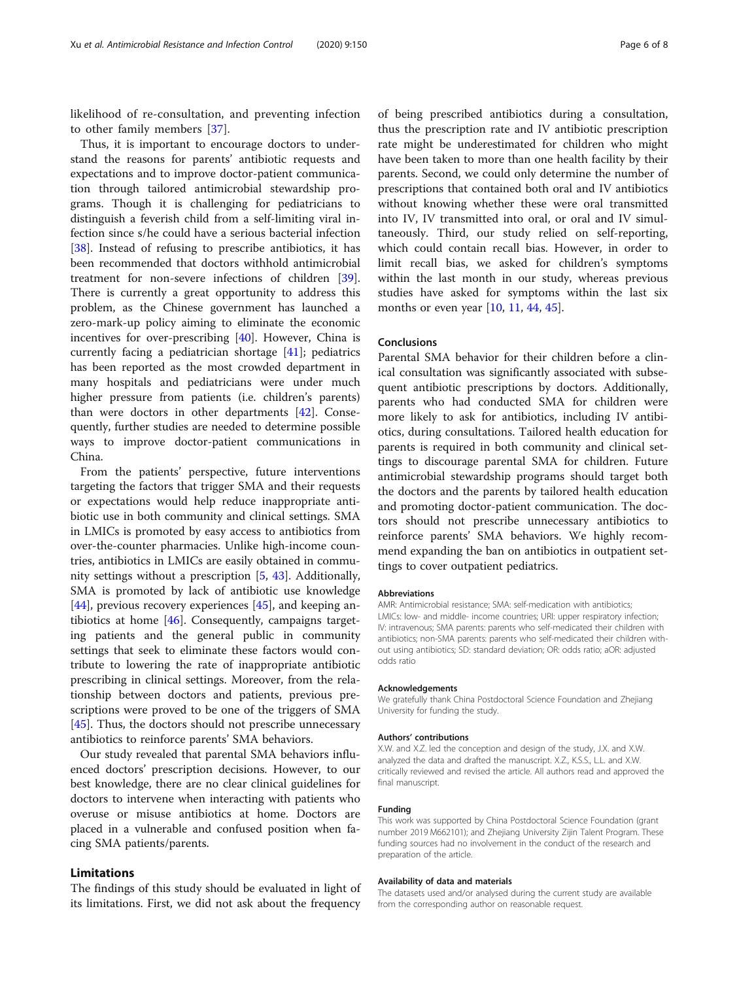likelihood of re-consultation, and preventing infection to other family members [\[37](#page-6-0)].

Thus, it is important to encourage doctors to understand the reasons for parents' antibiotic requests and expectations and to improve doctor-patient communication through tailored antimicrobial stewardship programs. Though it is challenging for pediatricians to distinguish a feverish child from a self-limiting viral infection since s/he could have a serious bacterial infection [[38\]](#page-7-0). Instead of refusing to prescribe antibiotics, it has been recommended that doctors withhold antimicrobial treatment for non-severe infections of children [\[39](#page-7-0)]. There is currently a great opportunity to address this problem, as the Chinese government has launched a zero-mark-up policy aiming to eliminate the economic incentives for over-prescribing [\[40](#page-7-0)]. However, China is currently facing a pediatrician shortage [\[41](#page-7-0)]; pediatrics has been reported as the most crowded department in many hospitals and pediatricians were under much higher pressure from patients (i.e. children's parents) than were doctors in other departments [\[42\]](#page-7-0). Consequently, further studies are needed to determine possible ways to improve doctor-patient communications in China.

From the patients' perspective, future interventions targeting the factors that trigger SMA and their requests or expectations would help reduce inappropriate antibiotic use in both community and clinical settings. SMA in LMICs is promoted by easy access to antibiotics from over-the-counter pharmacies. Unlike high-income countries, antibiotics in LMICs are easily obtained in community settings without a prescription [\[5,](#page-6-0) [43](#page-7-0)]. Additionally, SMA is promoted by lack of antibiotic use knowledge [[44\]](#page-7-0), previous recovery experiences [[45](#page-7-0)], and keeping antibiotics at home [\[46\]](#page-7-0). Consequently, campaigns targeting patients and the general public in community settings that seek to eliminate these factors would contribute to lowering the rate of inappropriate antibiotic prescribing in clinical settings. Moreover, from the relationship between doctors and patients, previous prescriptions were proved to be one of the triggers of SMA [[45\]](#page-7-0). Thus, the doctors should not prescribe unnecessary antibiotics to reinforce parents' SMA behaviors.

Our study revealed that parental SMA behaviors influenced doctors' prescription decisions. However, to our best knowledge, there are no clear clinical guidelines for doctors to intervene when interacting with patients who overuse or misuse antibiotics at home. Doctors are placed in a vulnerable and confused position when facing SMA patients/parents.

#### Limitations

The findings of this study should be evaluated in light of its limitations. First, we did not ask about the frequency

of being prescribed antibiotics during a consultation, thus the prescription rate and IV antibiotic prescription rate might be underestimated for children who might have been taken to more than one health facility by their parents. Second, we could only determine the number of prescriptions that contained both oral and IV antibiotics without knowing whether these were oral transmitted into IV, IV transmitted into oral, or oral and IV simultaneously. Third, our study relied on self-reporting, which could contain recall bias. However, in order to limit recall bias, we asked for children's symptoms within the last month in our study, whereas previous studies have asked for symptoms within the last six months or even year [\[10,](#page-6-0) [11,](#page-6-0) [44,](#page-7-0) [45\]](#page-7-0).

#### Conclusions

Parental SMA behavior for their children before a clinical consultation was significantly associated with subsequent antibiotic prescriptions by doctors. Additionally, parents who had conducted SMA for children were more likely to ask for antibiotics, including IV antibiotics, during consultations. Tailored health education for parents is required in both community and clinical settings to discourage parental SMA for children. Future antimicrobial stewardship programs should target both the doctors and the parents by tailored health education and promoting doctor-patient communication. The doctors should not prescribe unnecessary antibiotics to reinforce parents' SMA behaviors. We highly recommend expanding the ban on antibiotics in outpatient settings to cover outpatient pediatrics.

#### Abbreviations

AMR: Antimicrobial resistance; SMA: self-medication with antibiotics; LMICs: low- and middle- income countries; URI: upper respiratory infection; IV: intravenous; SMA parents: parents who self-medicated their children with antibiotics; non-SMA parents: parents who self-medicated their children without using antibiotics; SD: standard deviation; OR: odds ratio; aOR: adjusted odds ratio

#### Acknowledgements

We gratefully thank China Postdoctoral Science Foundation and Zhejiang University for funding the study.

#### Authors' contributions

X.W. and X.Z. led the conception and design of the study, J.X. and X.W. analyzed the data and drafted the manuscript. X.Z., K.S.S., L.L. and X.W. critically reviewed and revised the article. All authors read and approved the final manuscript.

#### Funding

This work was supported by China Postdoctoral Science Foundation (grant number 2019 M662101); and Zhejiang University Zijin Talent Program. These funding sources had no involvement in the conduct of the research and preparation of the article.

#### Availability of data and materials

The datasets used and/or analysed during the current study are available from the corresponding author on reasonable request.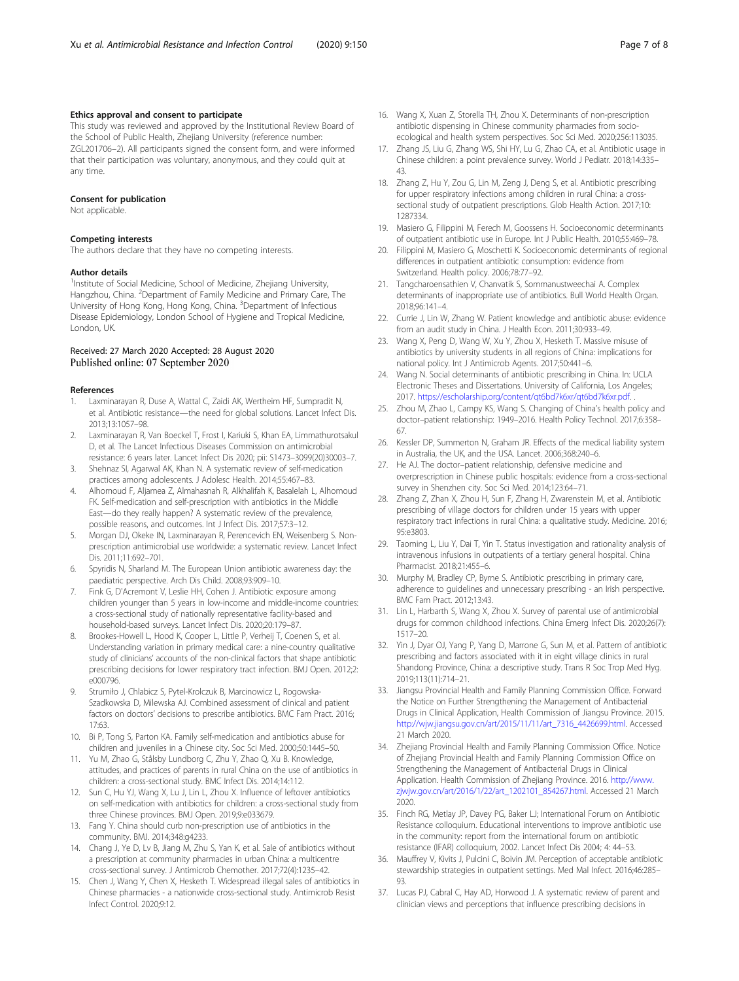#### <span id="page-6-0"></span>Ethics approval and consent to participate

This study was reviewed and approved by the Institutional Review Board of the School of Public Health, Zhejiang University (reference number: ZGL201706–2). All participants signed the consent form, and were informed that their participation was voluntary, anonymous, and they could quit at any time.

#### Consent for publication

Not applicable.

#### Competing interests

The authors declare that they have no competing interests.

#### Author details

<sup>1</sup>Institute of Social Medicine, School of Medicine, Zhejiang University, Hangzhou, China. <sup>2</sup>Department of Family Medicine and Primary Care, The University of Hong Kong, Hong Kong, China. <sup>3</sup>Department of Infectious Disease Epidemiology, London School of Hygiene and Tropical Medicine, London, UK.

#### Received: 27 March 2020 Accepted: 28 August 2020 Published online: 07 September 2020

#### References

- Laxminarayan R, Duse A, Wattal C, Zaidi AK, Wertheim HF, Sumpradit N, et al. Antibiotic resistance—the need for global solutions. Lancet Infect Dis. 2013;13:1057–98.
- 2. Laxminarayan R, Van Boeckel T, Frost I, Kariuki S, Khan EA, Limmathurotsakul D, et al. The Lancet Infectious Diseases Commission on antimicrobial resistance: 6 years later. Lancet Infect Dis 2020; pii: S1473–3099(20)30003–7.
- 3. Shehnaz SI, Agarwal AK, Khan N. A systematic review of self-medication practices among adolescents. J Adolesc Health. 2014;55:467–83.
- 4. Alhomoud F, Aljamea Z, Almahasnah R, Alkhalifah K, Basalelah L, Alhomoud FK. Self-medication and self-prescription with antibiotics in the Middle East—do they really happen? A systematic review of the prevalence, possible reasons, and outcomes. Int J Infect Dis. 2017;57:3–12.
- 5. Morgan DJ, Okeke IN, Laxminarayan R, Perencevich EN, Weisenberg S. Nonprescription antimicrobial use worldwide: a systematic review. Lancet Infect Dis. 2011;11:692–701.
- 6. Spyridis N, Sharland M. The European Union antibiotic awareness day: the paediatric perspective. Arch Dis Child. 2008;93:909–10.
- 7. Fink G, D'Acremont V, Leslie HH, Cohen J. Antibiotic exposure among children younger than 5 years in low-income and middle-income countries: a cross-sectional study of nationally representative facility-based and household-based surveys. Lancet Infect Dis. 2020;20:179–87.
- Brookes-Howell L, Hood K, Cooper L, Little P, Verheij T, Coenen S, et al. Understanding variation in primary medical care: a nine-country qualitative study of clinicians' accounts of the non-clinical factors that shape antibiotic prescribing decisions for lower respiratory tract infection. BMJ Open. 2012;2: e000796.
- 9. Strumiło J, Chlabicz S, Pytel-Krolczuk B, Marcinowicz L, Rogowska-Szadkowska D, Milewska AJ. Combined assessment of clinical and patient factors on doctors' decisions to prescribe antibiotics. BMC Fam Pract. 2016; 17:63.
- 10. Bi P, Tong S, Parton KA. Family self-medication and antibiotics abuse for children and juveniles in a Chinese city. Soc Sci Med. 2000;50:1445–50.
- 11. Yu M, Zhao G, Stålsby Lundborg C, Zhu Y, Zhao Q, Xu B. Knowledge, attitudes, and practices of parents in rural China on the use of antibiotics in children: a cross-sectional study. BMC Infect Dis. 2014;14:112.
- 12. Sun C, Hu YJ, Wang X, Lu J, Lin L, Zhou X. Influence of leftover antibiotics on self-medication with antibiotics for children: a cross-sectional study from three Chinese provinces. BMJ Open. 2019;9:e033679.
- 13. Fang Y. China should curb non-prescription use of antibiotics in the community. BMJ. 2014;348:g4233.
- 14. Chang J, Ye D, Lv B, Jiang M, Zhu S, Yan K, et al. Sale of antibiotics without a prescription at community pharmacies in urban China: a multicentre cross-sectional survey. J Antimicrob Chemother. 2017;72(4):1235–42.
- 15. Chen J, Wang Y, Chen X, Hesketh T. Widespread illegal sales of antibiotics in Chinese pharmacies - a nationwide cross-sectional study. Antimicrob Resist Infect Control. 2020;9:12.
- 16. Wang X, Xuan Z, Storella TH, Zhou X. Determinants of non-prescription antibiotic dispensing in Chinese community pharmacies from socioecological and health system perspectives. Soc Sci Med. 2020;256:113035.
- 17. Zhang JS, Liu G, Zhang WS, Shi HY, Lu G, Zhao CA, et al. Antibiotic usage in Chinese children: a point prevalence survey. World J Pediatr. 2018;14:335– 43.
- 18. Zhang Z, Hu Y, Zou G, Lin M, Zeng J, Deng S, et al. Antibiotic prescribing for upper respiratory infections among children in rural China: a crosssectional study of outpatient prescriptions. Glob Health Action. 2017;10: 1287334.
- 19. Masiero G, Filippini M, Ferech M, Goossens H. Socioeconomic determinants of outpatient antibiotic use in Europe. Int J Public Health. 2010;55:469–78.
- 20. Filippini M, Masiero G, Moschetti K. Socioeconomic determinants of regional differences in outpatient antibiotic consumption: evidence from Switzerland. Health policy. 2006;78:77–92.
- 21. Tangcharoensathien V, Chanvatik S, Sommanustweechai A. Complex determinants of inappropriate use of antibiotics. Bull World Health Organ. 2018;96:141–4.
- 22. Currie J, Lin W, Zhang W. Patient knowledge and antibiotic abuse: evidence from an audit study in China. J Health Econ. 2011;30:933–49.
- 23. Wang X, Peng D, Wang W, Xu Y, Zhou X, Hesketh T. Massive misuse of antibiotics by university students in all regions of China: implications for national policy. Int J Antimicrob Agents. 2017;50:441–6.
- 24. Wang N. Social determinants of antibiotic prescribing in China. In: UCLA Electronic Theses and Dissertations. University of California, Los Angeles; 2017. [https://escholarship.org/content/qt6bd7k6xr/qt6bd7k6xr.pdf.](https://escholarship.org/content/qt6bd7k6xr/qt6bd7k6xr.pdf) .
- 25. Zhou M, Zhao L, Campy KS, Wang S. Changing of China's health policy and doctor–patient relationship: 1949–2016. Health Policy Technol. 2017;6:358– 67.
- 26. Kessler DP, Summerton N, Graham JR. Effects of the medical liability system in Australia, the UK, and the USA. Lancet. 2006;368:240–6.
- 27. He AJ. The doctor–patient relationship, defensive medicine and overprescription in Chinese public hospitals: evidence from a cross-sectional survey in Shenzhen city. Soc Sci Med. 2014;123:64–71.
- 28. Zhang Z, Zhan X, Zhou H, Sun F, Zhang H, Zwarenstein M, et al. Antibiotic prescribing of village doctors for children under 15 years with upper respiratory tract infections in rural China: a qualitative study. Medicine. 2016; 95:e3803.
- 29. Taoming L, Liu Y, Dai T, Yin T. Status investigation and rationality analysis of intravenous infusions in outpatients of a tertiary general hospital. China Pharmacist. 2018;21:455–6.
- 30. Murphy M, Bradley CP, Byrne S. Antibiotic prescribing in primary care, adherence to guidelines and unnecessary prescribing - an Irish perspective. BMC Fam Pract. 2012;13:43.
- 31. Lin L, Harbarth S, Wang X, Zhou X. Survey of parental use of antimicrobial drugs for common childhood infections. China Emerg Infect Dis. 2020;26(7): 1517–20.
- 32. Yin J, Dyar OJ, Yang P, Yang D, Marrone G, Sun M, et al. Pattern of antibiotic prescribing and factors associated with it in eight village clinics in rural Shandong Province, China: a descriptive study. Trans R Soc Trop Med Hyg. 2019;113(11):714–21.
- 33. Jiangsu Provincial Health and Family Planning Commission Office. Forward the Notice on Further Strengthening the Management of Antibacterial Drugs in Clinical Application, Health Commission of Jiangsu Province. 2015. [http://wjw.jiangsu.gov.cn/art/2015/11/11/art\\_7316\\_4426699.html](http://wjw.jiangsu.gov.cn/art/2015/11/11/art_7316_4426699.html). Accessed 21 March 2020.
- 34. Zhejiang Provincial Health and Family Planning Commission Office. Notice of Zhejiang Provincial Health and Family Planning Commission Office on Strengthening the Management of Antibacterial Drugs in Clinical Application. Health Commission of Zhejiang Province. 2016. [http://www.](http://www.zjwjw.gov.cn/art/2016/1/22/art_1202101_854267.html) [zjwjw.gov.cn/art/2016/1/22/art\\_1202101\\_854267.html.](http://www.zjwjw.gov.cn/art/2016/1/22/art_1202101_854267.html) Accessed 21 March 2020.
- 35. Finch RG, Metlay JP, Davey PG, Baker LJ; International Forum on Antibiotic Resistance colloquium. Educational interventions to improve antibiotic use in the community: report from the international forum on antibiotic resistance (IFAR) colloquium, 2002. Lancet Infect Dis 2004; 4: 44–53.
- 36. Mauffrey V, Kivits J, Pulcini C, Boivin JM. Perception of acceptable antibiotic stewardship strategies in outpatient settings. Med Mal Infect. 2016;46:285– 93.
- 37. Lucas PJ, Cabral C, Hay AD, Horwood J. A systematic review of parent and clinician views and perceptions that influence prescribing decisions in